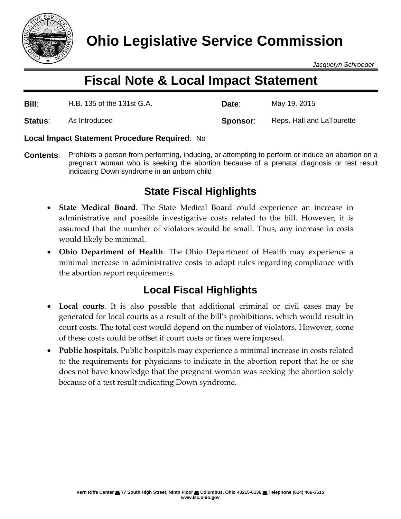

*Jacquelyn Schroeder*

# **Fiscal Note & Local Impact Statement**

| <b>Bill:</b> | H.B. 135 of the 131st G.A. | Date:    | May 19, 2015              |
|--------------|----------------------------|----------|---------------------------|
| Status:      | As Introduced              | Sponsor: | Reps. Hall and LaTourette |

### **Local Impact Statement Procedure Required**: No

**Contents**: Prohibits a person from performing, inducing, or attempting to perform or induce an abortion on a pregnant woman who is seeking the abortion because of a prenatal diagnosis or test result indicating Down syndrome in an unborn child

# **State Fiscal Highlights**

- **State Medical Board**. The State Medical Board could experience an increase in administrative and possible investigative costs related to the bill. However, it is assumed that the number of violators would be small. Thus, any increase in costs would likely be minimal.
- **Ohio Department of Health**. The Ohio Department of Health may experience a minimal increase in administrative costs to adopt rules regarding compliance with the abortion report requirements.

## **Local Fiscal Highlights**

- Local courts. It is also possible that additional criminal or civil cases may be generated for local courts as a result of the bill's prohibitions, which would result in court costs. The total cost would depend on the number of violators. However, some of these costs could be offset if court costs or fines were imposed.
- **Public hospitals.** Public hospitals may experience a minimal increase in costs related to the requirements for physicians to indicate in the abortion report that he or she does not have knowledge that the pregnant woman was seeking the abortion solely because of a test result indicating Down syndrome.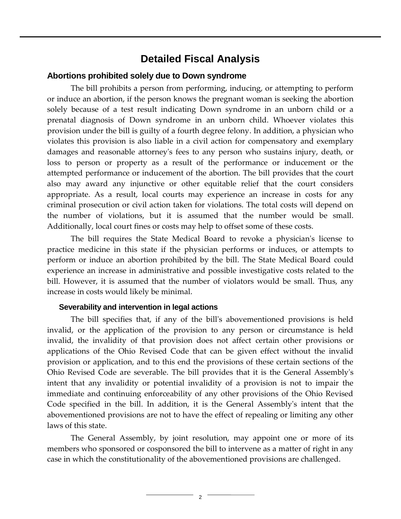### **Detailed Fiscal Analysis**

### **Abortions prohibited solely due to Down syndrome**

The bill prohibits a person from performing, inducing, or attempting to perform or induce an abortion, if the person knows the pregnant woman is seeking the abortion solely because of a test result indicating Down syndrome in an unborn child or a prenatal diagnosis of Down syndrome in an unborn child. Whoever violates this provision under the bill is guilty of a fourth degree felony. In addition, a physician who violates this provision is also liable in a civil action for compensatory and exemplary damages and reasonable attorney's fees to any person who sustains injury, death, or loss to person or property as a result of the performance or inducement or the attempted performance or inducement of the abortion. The bill provides that the court also may award any injunctive or other equitable relief that the court considers appropriate. As a result, local courts may experience an increase in costs for any criminal prosecution or civil action taken for violations. The total costs will depend on the number of violations, but it is assumed that the number would be small. Additionally, local court fines or costs may help to offset some of these costs.

The bill requires the State Medical Board to revoke a physician's license to practice medicine in this state if the physician performs or induces, or attempts to perform or induce an abortion prohibited by the bill. The State Medical Board could experience an increase in administrative and possible investigative costs related to the bill. However, it is assumed that the number of violators would be small. Thus, any increase in costs would likely be minimal.

#### **Severability and intervention in legal actions**

The bill specifies that, if any of the bill's abovementioned provisions is held invalid, or the application of the provision to any person or circumstance is held invalid, the invalidity of that provision does not affect certain other provisions or applications of the Ohio Revised Code that can be given effect without the invalid provision or application, and to this end the provisions of these certain sections of the Ohio Revised Code are severable. The bill provides that it is the General Assembly's intent that any invalidity or potential invalidity of a provision is not to impair the immediate and continuing enforceability of any other provisions of the Ohio Revised Code specified in the bill. In addition, it is the General Assembly's intent that the abovementioned provisions are not to have the effect of repealing or limiting any other laws of this state.

The General Assembly, by joint resolution, may appoint one or more of its members who sponsored or cosponsored the bill to intervene as a matter of right in any case in which the constitutionality of the abovementioned provisions are challenged.